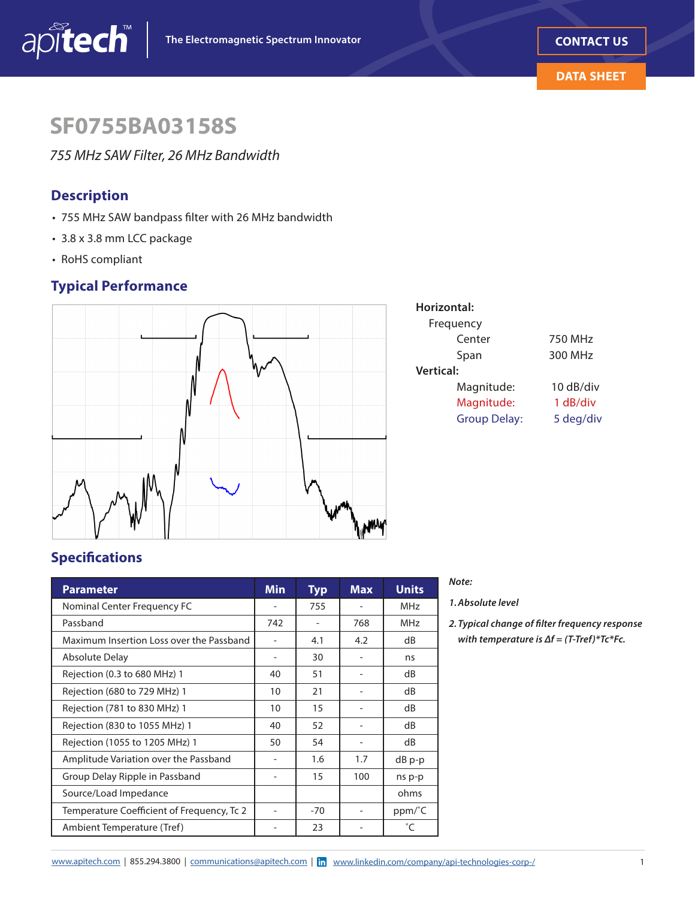

# **SF0755BA03158S**

*755 MHz SAW Filter, 26 MHz Bandwidth*

# **Description**

- 755 MHz SAW bandpass flter with 26 MHz bandwidth
- 3.8 x 3.8 mm LCC package
- RoHS compliant

# **Typical Performance**



| Horizontal:         |           |
|---------------------|-----------|
| Frequency           |           |
| Center              | 750 MHz   |
| Span                | 300 MHz   |
| <b>Vertical:</b>    |           |
| Magnitude:          | 10 dB/div |
| Magnitude:          | 1 dB/div  |
| <b>Group Delay:</b> | 5 deg/div |
|                     |           |

# **Specifcations**

| <b>Parameter</b>                           | <b>Min</b> | <b>Typ</b> | <b>Max</b> | <b>Units</b> |
|--------------------------------------------|------------|------------|------------|--------------|
| Nominal Center Frequency FC                |            | 755        |            | <b>MHz</b>   |
| Passband                                   | 742        |            | 768        | <b>MHz</b>   |
| Maximum Insertion Loss over the Passband   |            | 4.1        | 4.2        | dB           |
| <b>Absolute Delay</b>                      |            | 30         |            | ns           |
| Rejection (0.3 to 680 MHz) 1               | 40         | 51         |            | dB           |
| Rejection (680 to 729 MHz) 1               | 10         | 21         |            | dB           |
| Rejection (781 to 830 MHz) 1               | 10         | 15         |            | dB           |
| Rejection (830 to 1055 MHz) 1              | 40         | 52         |            | dB           |
| Rejection (1055 to 1205 MHz) 1             | 50         | 54         |            | dB           |
| Amplitude Variation over the Passband      |            | 1.6        | 1.7        | dB p-p       |
| Group Delay Ripple in Passband             |            | 15         | 100        | ns p-p       |
| Source/Load Impedance                      |            |            |            | ohms         |
| Temperature Coefficient of Frequency, Tc 2 |            | $-70$      |            | ppm/°C       |
| Ambient Temperature (Tref)                 |            | 23         |            | $^{\circ}$ C |

### *Note:*

*1. Absolute level* 

*2. Typical change of flter frequency response with temperature is ∆f = (T-Tref)\*Tc\*Fc.*